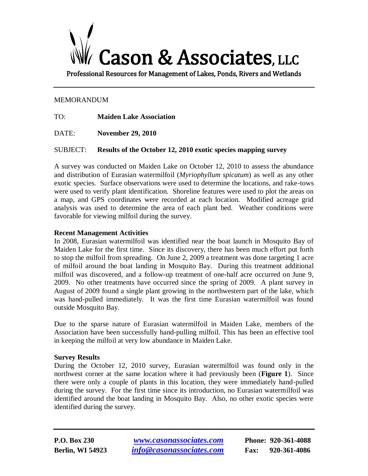# Cason & Associates, LLC

Professional Resources for Management of Lakes, Ponds, Rivers and Wetlands

# MEMORANDUM

TO: **Maiden Lake Association**

DATE: **November 29, 2010**

SUBJECT: **Results of the October 12, 2010 exotic species mapping survey** 

A survey was conducted on Maiden Lake on October 12, 2010 to assess the abundance and distribution of Eurasian watermilfoil (*Myriophyllum spicatum*) as well as any other exotic species. Surface observations were used to determine the locations, and rake-tows were used to verify plant identification. Shoreline features were used to plot the areas on a map, and GPS coordinates were recorded at each location. Modified acreage grid analysis was used to determine the area of each plant bed. Weather conditions were favorable for viewing milfoil during the survey.

# **Recent Management Activities**

In 2008, Eurasian watermilfoil was identified near the boat launch in Mosquito Bay of Maiden Lake for the first time. Since its discovery, there has been much effort put forth to stop the milfoil from spreading. On June 2, 2009 a treatment was done targeting 1 acre of milfoil around the boat landing in Mosquito Bay. During this treatment additional milfoil was discovered, and a follow-up treatment of one-half acre occurred on June 9, 2009. No other treatments have occurred since the spring of 2009. A plant survey in August of 2009 found a single plant growing in the northwestern part of the lake, which was hand-pulled immediately. It was the first time Eurasian watermilfoil was found outside Mosquito Bay.

Due to the sparse nature of Eurasian watermilfoil in Maiden Lake, members of the Association have been successfully hand-pulling milfoil. This has been an effective tool in keeping the milfoil at very low abundance in Maiden Lake.

# **Survey Results**

During the October 12, 2010 survey, Eurasian watermilfoil was found only in the northwest corner at the same location where it had previously been (**Figure 1**). Since there were only a couple of plants in this location, they were immediately hand-pulled during the survey. For the first time since its introduction, no Eurasian watermilfoil was identified around the boat landing in Mosquito Bay. Also, no other exotic species were identified during the survey.

**P.O. Box 230** *[www.casonassociates.com](http://www.casonassociates.com/)* **Phone: 920-361-4088 Berlin, WI 54923** *[info@casonassociates.com](mailto:info@casonassociates.com)* **Fax: 920-361-4086**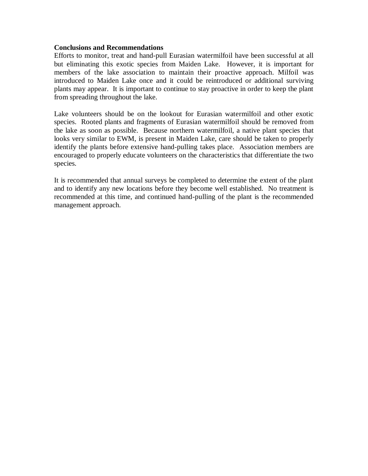## **Conclusions and Recommendations**

Efforts to monitor, treat and hand-pull Eurasian watermilfoil have been successful at all but eliminating this exotic species from Maiden Lake. However, it is important for members of the lake association to maintain their proactive approach. Milfoil was introduced to Maiden Lake once and it could be reintroduced or additional surviving plants may appear. It is important to continue to stay proactive in order to keep the plant from spreading throughout the lake.

Lake volunteers should be on the lookout for Eurasian watermilfoil and other exotic species. Rooted plants and fragments of Eurasian watermilfoil should be removed from the lake as soon as possible. Because northern watermilfoil, a native plant species that looks very similar to EWM, is present in Maiden Lake, care should be taken to properly identify the plants before extensive hand-pulling takes place. Association members are encouraged to properly educate volunteers on the characteristics that differentiate the two species.

It is recommended that annual surveys be completed to determine the extent of the plant and to identify any new locations before they become well established. No treatment is recommended at this time, and continued hand-pulling of the plant is the recommended management approach.